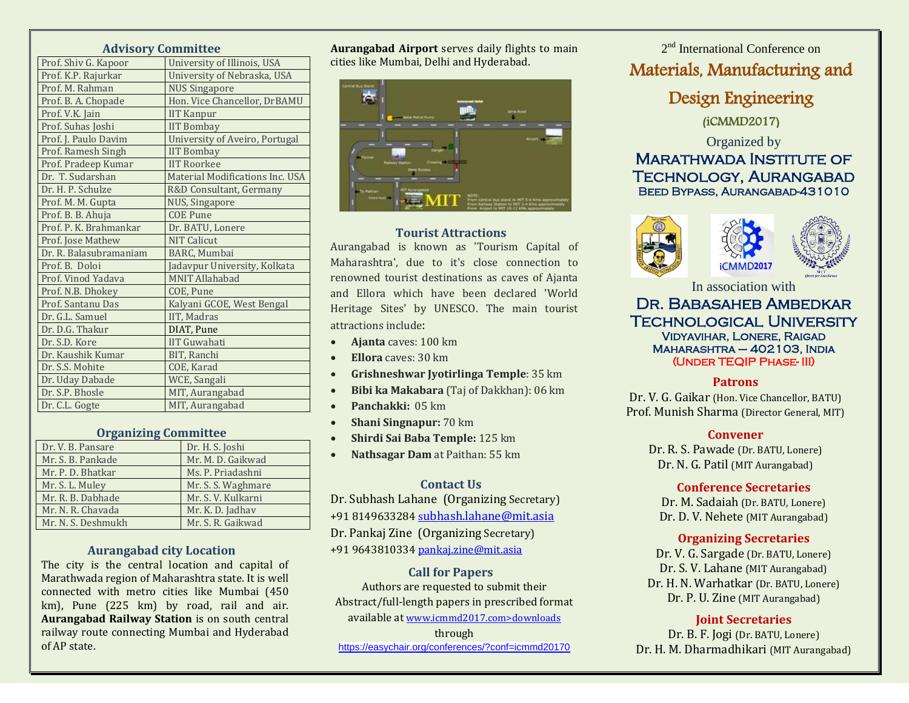## **Advisory Committee**

| 11011301y              | <b>COMMITTEE</b>                |
|------------------------|---------------------------------|
| Prof. Shiv G. Kapoor   | University of Illinois, USA     |
| Prof. K.P. Rajurkar    | University of Nebraska, USA     |
| Prof. M. Rahman        | <b>NUS Singapore</b>            |
| Prof. B. A. Chopade    | Hon. Vice Chancellor, DrBAMU    |
| Prof. V.K. Jain        | <b>IIT Kanpur</b>               |
| Prof. Suhas Joshi      | <b>IIT Bombay</b>               |
| Prof. J. Paulo Davim   | University of Aveiro, Portugal  |
| Prof. Ramesh Singh     | <b>IIT Bombay</b>               |
| Prof. Pradeep Kumar    | <b>IIT Roorkee</b>              |
| Dr. T. Sudarshan       | Material Modifications Inc. USA |
| Dr. H. P. Schulze      | R&D Consultant, Germany         |
| Prof. M. M. Gupta      | NUS, Singapore                  |
| Prof. B. B. Ahuja      | <b>COE Pune</b>                 |
| Prof. P. K. Brahmankar | Dr. BATU, Lonere                |
| Prof. Jose Mathew      | <b>NIT Calicut</b>              |
| Dr. R. Balasubramaniam | <b>BARC</b> , Mumbai            |
| Prof. B. Doloi         | Jadavpur University, Kolkata    |
| Prof. Vinod Yadava     | <b>MNIT Allahabad</b>           |
| Prof. N.B. Dhokey      | COE, Pune                       |
| Prof. Santanu Das      | Kalyani GCOE, West Bengal       |
| Dr. G.L. Samuel        | IIT, Madras                     |
| Dr. D.G. Thakur        | DIAT, Pune                      |
| Dr. S.D. Kore          | <b>IIT Guwahati</b>             |
| Dr. Kaushik Kumar      | BIT, Ranchi                     |
| Dr. S.S. Mohite        | COE, Karad                      |
| Dr. Uday Dabade        | WCE, Sangali                    |
| Dr. S.P. Bhosle        | MIT, Aurangabad                 |
| Dr. C.L. Gogte         | MIT, Aurangabad                 |
|                        |                                 |

## **Organizing Committee**

| Dr. V. B. Pansare  | Dr. H. S. Joshi    |
|--------------------|--------------------|
| Mr. S. B. Pankade  | Mr. M. D. Gaikwad  |
| Mr. P. D. Bhatkar  | Ms. P. Priadashni  |
| Mr. S. L. Muley    | Mr. S. S. Waghmare |
| Mr. R. B. Dabhade  | Mr. S. V. Kulkarni |
| Mr. N. R. Chavada  | Mr. K. D. Jadhav   |
| Mr. N. S. Deshmukh | Mr. S. R. Gaikwad  |

### **Aurangabad city Location**

The city is the central location and capital of Marathwada region of Maharashtra state. It is well connected with metro cities like Mumbai (450 km), Pune (225 km) by road, rail and air. **Aurangabad Railway Station** is on south central railway route connecting Mumbai and Hyderabad of AP state.

**Aurangabad Airport** serves daily flights to main cities like Mumbai, Delhi and Hyderabad.



#### **Tourist Attractions**

Aurangabad is known as 'Tourism Capital of Maharashtra', due to it's close connection to renowned tourist destinations as caves of Ajanta and Ellora which have been declared 'World Heritage Sites' by UNESCO. The main tourist attractions include:

- **Ajanta** caves: 100 km
- **Ellora** caves: 30 km
- **Grishneshwar Jyotirlinga Temple**: 35 km
- **Bibi ka Makabara** (Taj of Dakkhan): 06 km
- **Panchakki:** 05 km
- **Shani Singnapur:** 70 km
- **Shirdi Sai Baba Temple:** 125 km
- **Nathsagar Dam** at Paithan: 55 km

## **Contact Us**

Dr. Subhash Lahane (Organizing Secretary) +91 8149633284 s[ubhash.lahane@mit.asia](mailto:subhash.lahane@mit.asia) Dr. Pankaj Zine (Organizing Secretary) +91 964381033[4 pankaj.zine@mit.asia](mailto:pankaj.zine@mit.asia)

### **Call for Papers**

Authors are requested to submit their Abstract/full-length papers in prescribed format available at www.icmmd2017.com>downloads

through

<https://easychair.org/conferences/?conf=icmmd20170>

2<sup>nd</sup> International Conference on Materials, Manufacturing and

Design Engineering

(iCMMD2017)

# Organized by Marathwada Institute of Technology, Aurangabad Beed Bypass, Aurangabad-431010





In association with

**iCMMD2017** 

## Dr. Babasaheb Ambedkar Technological University Vidyavihar, Lonere, Raigad Maharashtra – 402103, India (Under TEQIP Phase- III)

### **Patrons**

Dr. V. G. Gaikar (Hon. Vice Chancellor, BATU) Prof. Munish Sharma (Director General, MIT)

### **Convener**

Dr. R. S. Pawade (Dr. BATU, Lonere) Dr. N. G. Patil (MIT Aurangabad)

## **Conference Secretaries**

Dr. M. Sadaiah (Dr. BATU, Lonere) Dr. D. V. Nehete (MIT Aurangabad)

# **Organizing Secretaries**

Dr. V. G. Sargade (Dr. BATU, Lonere) Dr. S. V. Lahane (MIT Aurangabad) Dr. H. N. Warhatkar (Dr. BATU, Lonere) Dr. P. U. Zine (MIT Aurangabad)

# **Joint Secretaries**

Dr. B. F. Jogi (Dr. BATU, Lonere) Dr. H. M. Dharmadhikari (MIT Aurangabad)